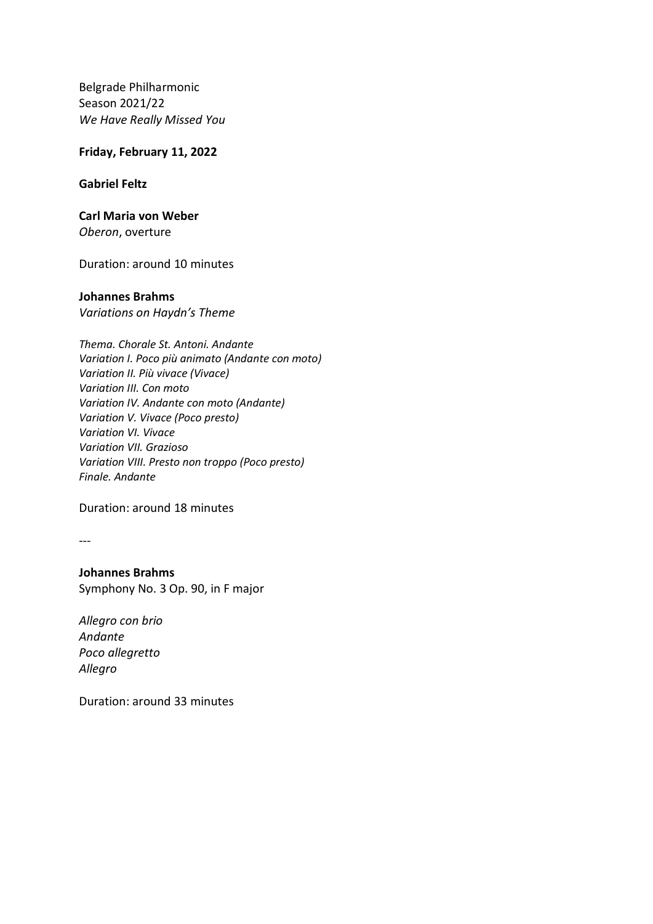Belgrade Philharmonic Season 2021/22 *We Have Really Missed You* 

## **Friday, February 11, 2022**

## **Gabriel Feltz**

## **Carl Maria von Weber**

*Oberon*, overture

Duration: around 10 minutes

## **Johannes Brahms**

*Variations on Haydn's Theme*

Duration: around 18 minutes

---

**Johannes Brahms** Symphony No. 3 Op. 90, in F major

*[Allegro con brio](http://en.wikipedia.org/wiki/Allegro_%28music%29) [Andante](http://en.wikipedia.org/wiki/Andante) [Poco allegretto](http://en.wikipedia.org/wiki/Allegretto) [Allegro](http://en.wikipedia.org/wiki/Allegro_%28music%29)*

Duration: around 33 minutes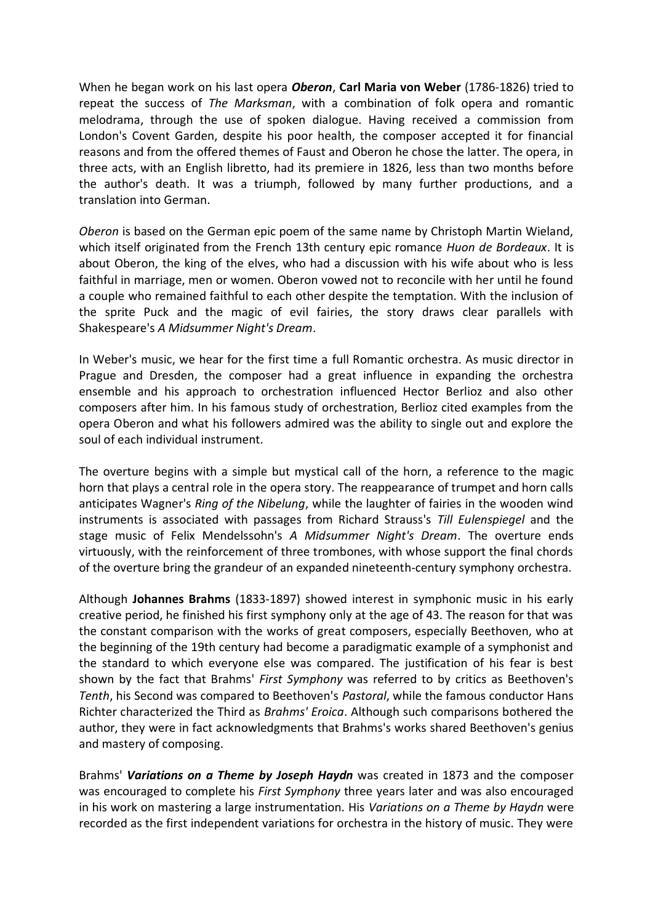When he began work on his last opera *Oberon*, **Carl Maria von Weber** (1786-1826) tried to repeat the success of *The Marksman*, with a combination of folk opera and romantic melodrama, through the use of spoken dialogue. Having received a commission from London's Covent Garden, despite his poor health, the composer accepted it for financial reasons and from the offered themes of Faust and Oberon he chose the latter. The opera, in three acts, with an English libretto, had its premiere in 1826, less than two months before the author's death. It was a triumph, followed by many further productions, and a translation into German.

*Oberon* is based on the German epic poem of the same name by Christoph Martin Wieland, which itself originated from the French 13th century epic romance *Huon de Bordeaux*. It is about Oberon, the king of the elves, who had a discussion with his wife about who is less faithful in marriage, men or women. Oberon vowed not to reconcile with her until he found a couple who remained faithful to each other despite the temptation. With the inclusion of the sprite Puck and the magic of evil fairies, the story draws clear parallels with Shakespeare's *A Midsummer Night's Dream*.

In Weber's music, we hear for the first time a full Romantic orchestra. As music director in Prague and Dresden, the composer had a great influence in expanding the orchestra ensemble and his approach to orchestration influenced Hector Berlioz and also other composers after him. In his famous study of orchestration, Berlioz cited examples from the opera Oberon and what his followers admired was the ability to single out and explore the soul of each individual instrument.

The overture begins with a simple but mystical call of the horn, a reference to the magic horn that plays a central role in the opera story. The reappearance of trumpet and horn calls anticipates Wagner's *Ring of the Nibelung*, while the laughter of fairies in the wooden wind instruments is associated with passages from Richard Strauss's *Till Eulenspiegel* and the stage music of Felix Mendelssohn's *A Midsummer Night's Dream*. The overture ends virtuously, with the reinforcement of three trombones, with whose support the final chords of the overture bring the grandeur of an expanded nineteenth-century symphony orchestra.

Although **Johannes Brahms** (1833-1897) showed interest in symphonic music in his early creative period, he finished his first symphony only at the age of 43. The reason for that was the constant comparison with the works of great composers, especially Beethoven, who at the beginning of the 19th century had become a paradigmatic example of a symphonist and the standard to which everyone else was compared. The justification of his fear is best shown by the fact that Brahms' *First Symphony* was referred to by critics as Beethoven's *Tenth*, his Second was compared to Beethoven's *Pastoral*, while the famous conductor Hans Richter characterized the Third as *Brahms' Eroica*. Although such comparisons bothered the author, they were in fact acknowledgments that Brahms's works shared Beethoven's genius and mastery of composing.

Brahms' *Variations on a Theme by Joseph Haydn* was created in 1873 and the composer was encouraged to complete his *First Symphony* three years later and was also encouraged in his work on mastering a large instrumentation. His *Variations on a Theme by Haydn* were recorded as the first independent variations for orchestra in the history of music. They were